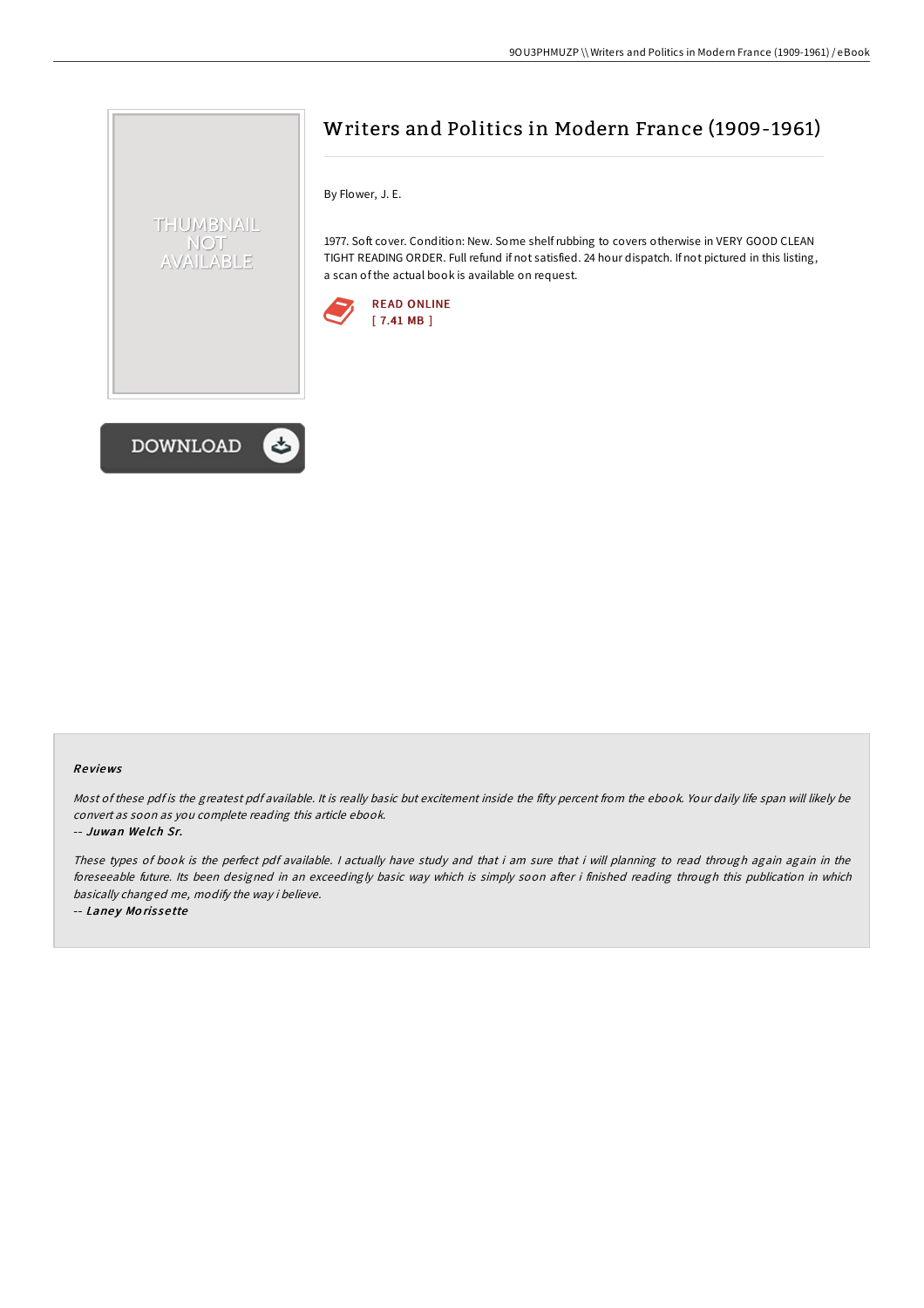# Writers and Politics in Modern France (1909-1961)

By Flower, J. E.

1977. Soft cover. Condition: New. Some shelfrubbing to covers otherwise in VERY GOOD CLEAN TIGHT READING ORDER. Full refund if not satisfied. 24 hour dispatch. If not pictured in this listing, a scan of the actual book is available on request.





THUMBNAIL **NOT** AVAILABLE

### Re views

Most of these pdf is the greatest pdf available. It is really basic but excitement inside the fifty percent from the ebook. Your daily life span will likely be convert as soon as you complete reading this article ebook.

-- Juwan We lch Sr.

These types of book is the perfect pdf available. <sup>I</sup> actually have study and that i am sure that i will planning to read through again again in the foreseeable future. Its been designed in an exceedingly basic way which is simply soon after i finished reading through this publication in which basically changed me, modify the way i believe.

-- Laney Morissette